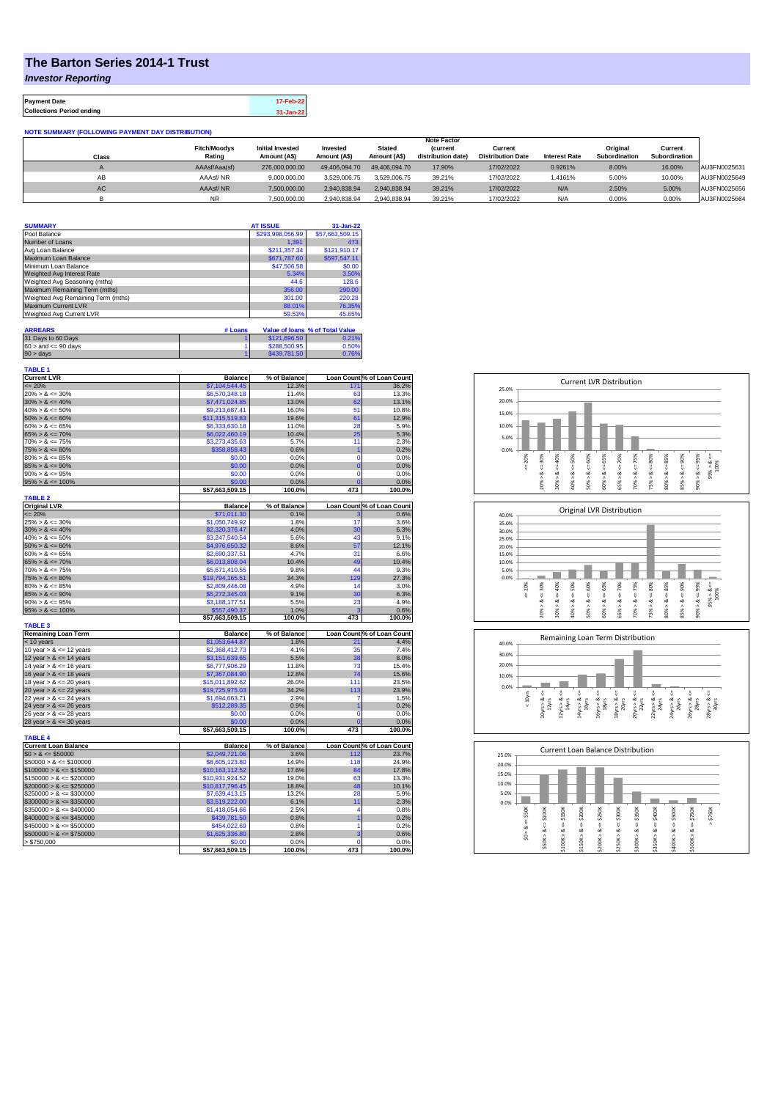## **The Barton Series 2014-1 Trust**

*Investor Reporting*

**Payment Date 17-Feb-22 Collections Period ending 31-Jan-22**

**NOTE SUMMARY (FOLLOWING PAYMENT DAY DISTRIBUTION)**

|           |                     |                         |               |               | <b>Note Factor</b> |                          |                      |               |               |              |
|-----------|---------------------|-------------------------|---------------|---------------|--------------------|--------------------------|----------------------|---------------|---------------|--------------|
|           | <b>Fitch/Moodys</b> | <b>Initial Invested</b> | Invested      | <b>Stated</b> | <b>(current</b>    | Current                  |                      | Original      | Current       |              |
| Class     | Rating              | Amount (A\$)            | Amount (A\$)  | Amount (A\$)  | distribution date) | <b>Distribution Date</b> | <b>Interest Rate</b> | Subordination | Subordination |              |
|           | AAAsf/Aaa(sf)       | 276.000.000.00          | 49.406.094.70 | 49,406,094.70 | 17.90%             | 17/02/2022               | 0.9261%              | 8.00%         | 16.00%        | AU3FN0025631 |
| AB        | AAAsf/NR            | 9,000,000.00            | 3.529.006.75  | 3.529.006.75  | 39.21%             | 17/02/2022               | 1.4161%              | 5.00%         | 10.00%        | AU3FN0025649 |
| <b>AC</b> | AAAsf/NR            | 7,500,000.00            | 2.940.838.94  | 2.940.838.94  | 39.21%             | 17/02/2022               | N/A                  | 2.50%         | 5.00%         | AU3FN0025656 |
|           | NR.                 | 7.500.000.00            | 2.940.838.94  | 2.940.838.94  | 39.21%             | 17/02/2022               | N/A                  | 0.00%         | 0.00%         | AU3FN0025664 |

| <b>SUMMARY</b>                     | <b>AT ISSUE</b>  | 31-Jan-22       |
|------------------------------------|------------------|-----------------|
| Pool Balance                       | \$293,998,056.99 | \$57,663,509.15 |
| Number of Loans                    | 1.391            | 473             |
| Avg Loan Balance                   | \$211,357.34     | \$121,910.17    |
| Maximum Loan Balance               | \$671,787.60     | \$597,547.11    |
| Minimum Loan Balance               | \$47,506.58      | \$0.00          |
| Weighted Avg Interest Rate         | 5.34%            | 3.50%           |
| Weighted Avg Seasoning (mths)      | 44.6             | 128.6           |
| Maximum Remaining Term (mths)      | 356.00           | 290.00          |
| Weighted Avg Remaining Term (mths) | 301.00           | 220.28          |
| Maximum Current LVR                | 88.01%           | 76.35%          |
| Weighted Avg Current LVR           | 59.53%           | 45.65%          |

| <b>ARREARS</b>            | # Loans |              | Value of Ioans % of Total Value |
|---------------------------|---------|--------------|---------------------------------|
| 31 Days to 60 Days        |         | \$121,696.50 | 0.21%                           |
| $60 >$ and $\leq 90$ days |         | \$288,500.95 | 0.50%                           |
| $90 >$ days               |         | \$439,781.50 | 0.76%                           |

| <b>TABLE 1</b><br><b>Current LVR</b>       |                                   |                       |                |                                     |
|--------------------------------------------|-----------------------------------|-----------------------|----------------|-------------------------------------|
| $= 20%$                                    | <b>Balance</b><br>\$7,104,544.45  | % of Balance<br>12.3% | 171            | Loan Count % of Loan Count<br>36.2% |
| $20\% > 8 \le 30\%$                        | \$6,570,348.18                    | 11.4%                 | 63             | 13.3%                               |
| $30\% > 8 \le 40\%$                        | \$7,471,024.85                    | 13.0%                 | 62             | 13.1%                               |
| $40\% > 8 \le 50\%$                        |                                   | 16.0%                 | 51             |                                     |
| $50\% > 8 \le 60\%$                        | \$9,213,687.41<br>\$11,315,519.83 | 19.6%                 | 61             | 10.8%<br>12.9%                      |
| $60\% > 8 \le 65\%$                        | \$6,333,630.18                    | 11.0%                 | 28             | 5.9%                                |
|                                            |                                   |                       |                |                                     |
| $65\% > 8 \le 70\%$<br>$70\% > 8 \le 75\%$ | \$6,022,460.19                    | 10.4%<br>5.7%         | 25<br>11       | 5.3%<br>2.3%                        |
| $75\% > 8 \le 80\%$                        | \$3,273,435.63<br>\$358,858.43    | 0.6%                  | $\overline{1}$ | 0.2%                                |
| $80\% > 8 \le 85\%$                        | \$0.00                            | 0.0%                  | $\mathbf 0$    | 0.0%                                |
| $85\% > 8 \le 90\%$                        | \$0.00                            | 0.0%                  | $\overline{0}$ | 0.0%                                |
| $90\% > 8 \le 95\%$                        | \$0.00                            | 0.0%                  | $\mathbf 0$    | 0.0%                                |
| $95\% > 8 \le 100\%$                       | \$0.00                            | 0.0%                  | $\Omega$       | 0.0%                                |
|                                            | \$57,663,509.15                   | 100.0%                | 473            | 100.0%                              |
| <b>TABLE 2</b>                             |                                   |                       |                |                                     |
| <b>Original LVR</b>                        | <b>Balance</b>                    | % of Balance          |                | Loan Count % of Loan Count          |
| $= 20%$                                    | \$71,011.30                       | 0.1%                  |                | 0.6%                                |
| $25\% > 8 \le 30\%$                        | \$1,050,749.92                    | 1.8%                  | 17             | 3.6%                                |
| $30\% > 8 \le 40\%$                        | \$2,320,376.47                    | 4.0%                  | 30             | 6.3%                                |
| $40\% > 8 \le 50\%$                        | \$3,247,540.54                    | 5.6%                  | 43             | 9.1%                                |
| $50\% > 8 \le 60\%$                        | \$4,976,650.32                    | 8.6%                  | 57             | 12.1%                               |
| $60\% > 8 \le 65\%$                        | \$2,690,337.51                    | 4.7%                  | 31             | 6.6%                                |
| $65\% > 8 \le 70\%$                        | \$6,013,808.04                    | 10.4%                 | 49             | 10.4%                               |
| $70\% > 8 \le 75\%$                        | \$5,671,410.55                    | 9.8%                  | 44             | 9.3%                                |
| $75\% > 8 \le 80\%$                        | \$19,794,165.51                   | 34.3%                 | 129            | 27.3%                               |
| $80\% > 8 \le 85\%$                        | \$2,809,446.08                    | 4.9%                  | 14             | 3.0%                                |
| $85\% > 8 \le 90\%$                        | \$5,272,345.03                    | 9.1%                  | 30             | 6.3%                                |
| $90\% > 8 \le 95\%$                        | \$3,188,177.51                    | 5.5%                  | 23             | 4.9%                                |
| $95\% > 8 \le 100\%$                       | \$557,490.37                      | 1.0%                  | s              | 0.6%                                |
|                                            | \$57,663,509.15                   | 100.0%                | 473            | 100.0%                              |
| <b>TABLE 3</b>                             |                                   |                       |                |                                     |
| <b>Remaining Loan Term</b>                 | <b>Balance</b>                    | % of Balance<br>1.8%  | 21             | Loan Count % of Loan Count<br>4.4%  |
| < 10 years<br>10 year $> 8 \le 12$ years   | \$1,053,644.87<br>\$2,368,412.73  | 4.1%                  | 35             | 7.4%                                |
| 12 year $> 8 \le 14$ years                 | \$3,151,639.65                    | 5.5%                  | 38             | 8.0%                                |
| 14 year $> 8 \le 16$ years                 | \$6,777,906.29                    | 11.8%                 | 73             | 15.4%                               |
| 16 year $> 8 \le 18$ years                 | \$7,367,084.90                    | 12.8%                 | 74             | 15.6%                               |
| 18 year $> 8 \le 20$ years                 | \$15,011,892.62                   | 26.0%                 | 111            | 23.5%                               |
| 20 year $> 8 \le 22$ years                 | \$19,725,975.03                   | 34.2%                 | 113            | 23.9%                               |
| 22 year $> 8 \le 24$ years                 | \$1,694,663.71                    | 2.9%                  | 7              | 1.5%                                |
| 24 year $> 8 \le 26$ years                 | \$512,289.35                      | 0.9%                  |                | 0.2%                                |
| 26 year $> 8 \le 28$ years                 | \$0.00                            | 0.0%                  | $\mathbf 0$    | 0.0%                                |
| 28 year $> 8 \le 30$ years                 | \$0.00                            | 0.0%                  | $\overline{0}$ | 0.0%                                |
|                                            | \$57,663,509.15                   | 100.0%                | 473            | 100.0%                              |
| <b>TABLE 4</b>                             |                                   |                       |                |                                     |
| <b>Current Loan Balance</b>                | <b>Balance</b>                    | % of Balance          |                | Loan Count % of Loan Count          |
| $$0 > 8 \le $50000$                        | \$2,049,721.06                    | 3.6%                  | 112            | 23.7%                               |
| $$50000 > 8 \le $100000$                   | \$8,605,123.80                    | 14.9%                 | 118            | 24.9%                               |
| $$100000 > 8 \le $150000$                  | \$10,163,112.52                   | 17.6%                 | 84             | 17.8%                               |
| $$150000 > 8 \leq $200000$                 | \$10,931,924.52                   | 19.0%                 | 63             | 13.3%                               |
| $$200000 > 8 \leq $250000$                 | \$10,817,796.45                   | 18.8%                 | 48             | 10.1%                               |
| $$250000 > 8 \le $300000$                  | \$7,639,413.15                    | 13.2%                 | 28             | 5.9%                                |
| $$300000 > 8 \leq $350000$                 | \$3,519,222.00                    | 6.1%                  | 11             | 2.3%                                |
| $$350000 > 8 \le $400000$                  | \$1,418,054.66                    | 2.5%                  | 4              | 0.8%                                |
| $$400000 > 8 \le $450000$                  | \$439,781.50                      | 0.8%                  |                | 0.2%                                |
| $$450000 > 8 \le $500000$                  | \$454,022.69                      | 0.8%                  | 1              | 0.2%                                |
| $$500000 > 8 \le $750000$                  | \$1,625,336.80                    | 2.8%                  | 3              | 0.6%                                |
| > \$750,000                                | \$0.00                            | 0.0%                  | $\Omega$       | 0.0%                                |
|                                            | \$57,663,509.15                   | 100.0%                | 473            | 100.0%                              |







| 25.0% |       |        |        |         | Current Loan Balance Distribution |        |        |        |        |        |        |  |
|-------|-------|--------|--------|---------|-----------------------------------|--------|--------|--------|--------|--------|--------|--|
| 20.0% |       |        |        |         |                                   |        |        |        |        |        |        |  |
| 15.0% |       |        |        |         |                                   |        |        |        |        |        |        |  |
| 10.0% |       |        |        |         |                                   |        |        |        |        |        |        |  |
| 5.0%  |       |        |        |         |                                   |        |        |        |        |        |        |  |
| 0.0%  |       |        |        |         |                                   |        |        |        |        |        |        |  |
|       | \$50K | \$100K | \$150K | \$200K  | \$250K                            | \$300K | \$350K | \$400K | \$500K | \$750K | \$750K |  |
|       | J.    |        | ₩      |         |                                   | ű      |        | ű      | ₩      | V      | Λ      |  |
|       | ∞     | ₩<br>ಹ | œ      | ₹<br>œ  | ₩<br>œ                            | ∞      | ₩<br>œ | ∞      | œ      | œ      |        |  |
|       | S.    |        | ۸      |         | Λ                                 | Λ      |        | ٨      | Λ      | ٨      |        |  |
|       |       | \$50K> | \$100K | \$150K> | \$200K                            | \$250K | \$300K | \$350K | \$400K | \$500K |        |  |